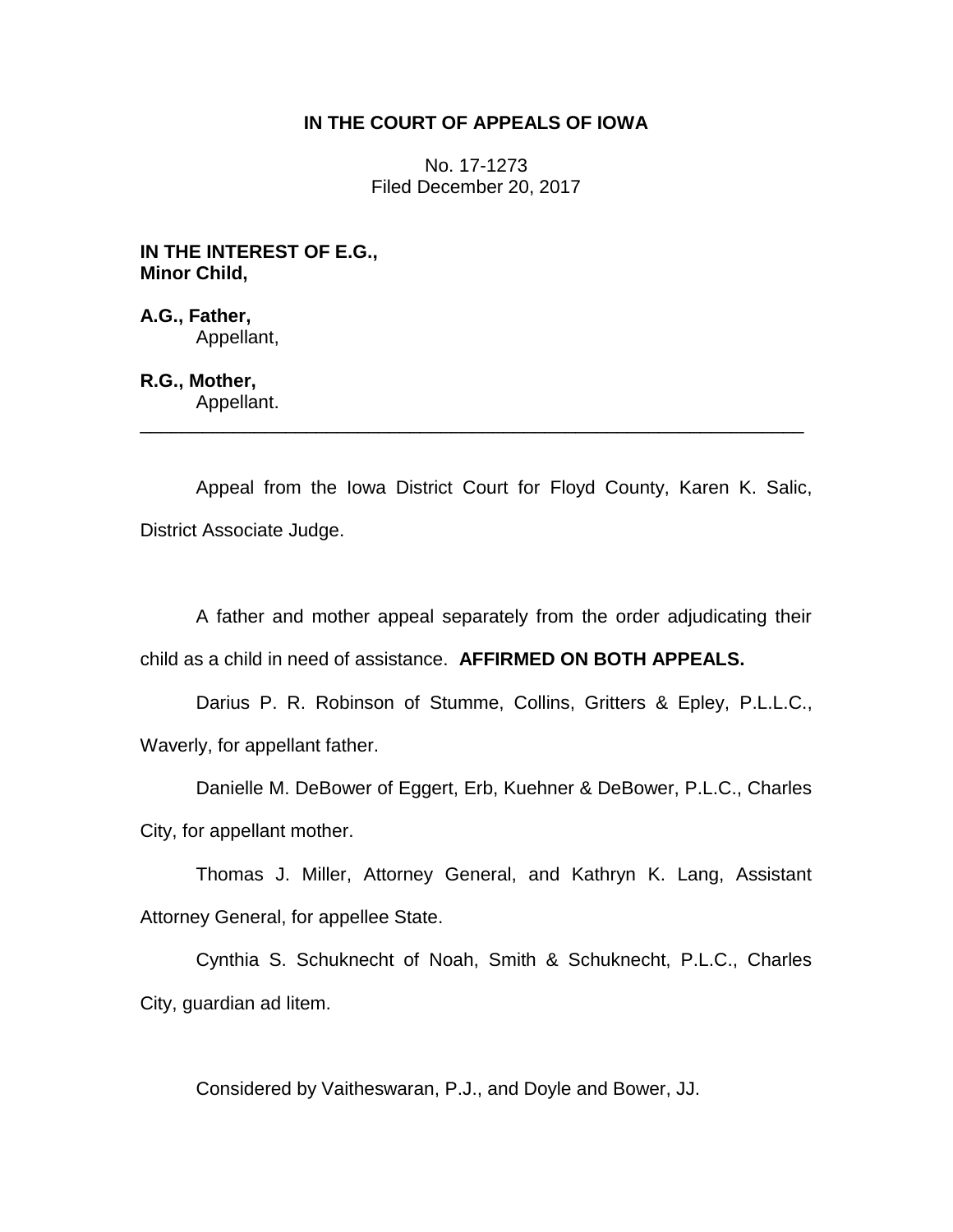## **IN THE COURT OF APPEALS OF IOWA**

No. 17-1273 Filed December 20, 2017

**IN THE INTEREST OF E.G., Minor Child,**

**A.G., Father,** Appellant,

## **R.G., Mother,**

Appellant. \_\_\_\_\_\_\_\_\_\_\_\_\_\_\_\_\_\_\_\_\_\_\_\_\_\_\_\_\_\_\_\_\_\_\_\_\_\_\_\_\_\_\_\_\_\_\_\_\_\_\_\_\_\_\_\_\_\_\_\_\_\_\_\_

Appeal from the Iowa District Court for Floyd County, Karen K. Salic, District Associate Judge.

A father and mother appeal separately from the order adjudicating their child as a child in need of assistance. **AFFIRMED ON BOTH APPEALS.**

Darius P. R. Robinson of Stumme, Collins, Gritters & Epley, P.L.L.C., Waverly, for appellant father.

Danielle M. DeBower of Eggert, Erb, Kuehner & DeBower, P.L.C., Charles City, for appellant mother.

Thomas J. Miller, Attorney General, and Kathryn K. Lang, Assistant Attorney General, for appellee State.

Cynthia S. Schuknecht of Noah, Smith & Schuknecht, P.L.C., Charles City, guardian ad litem.

Considered by Vaitheswaran, P.J., and Doyle and Bower, JJ.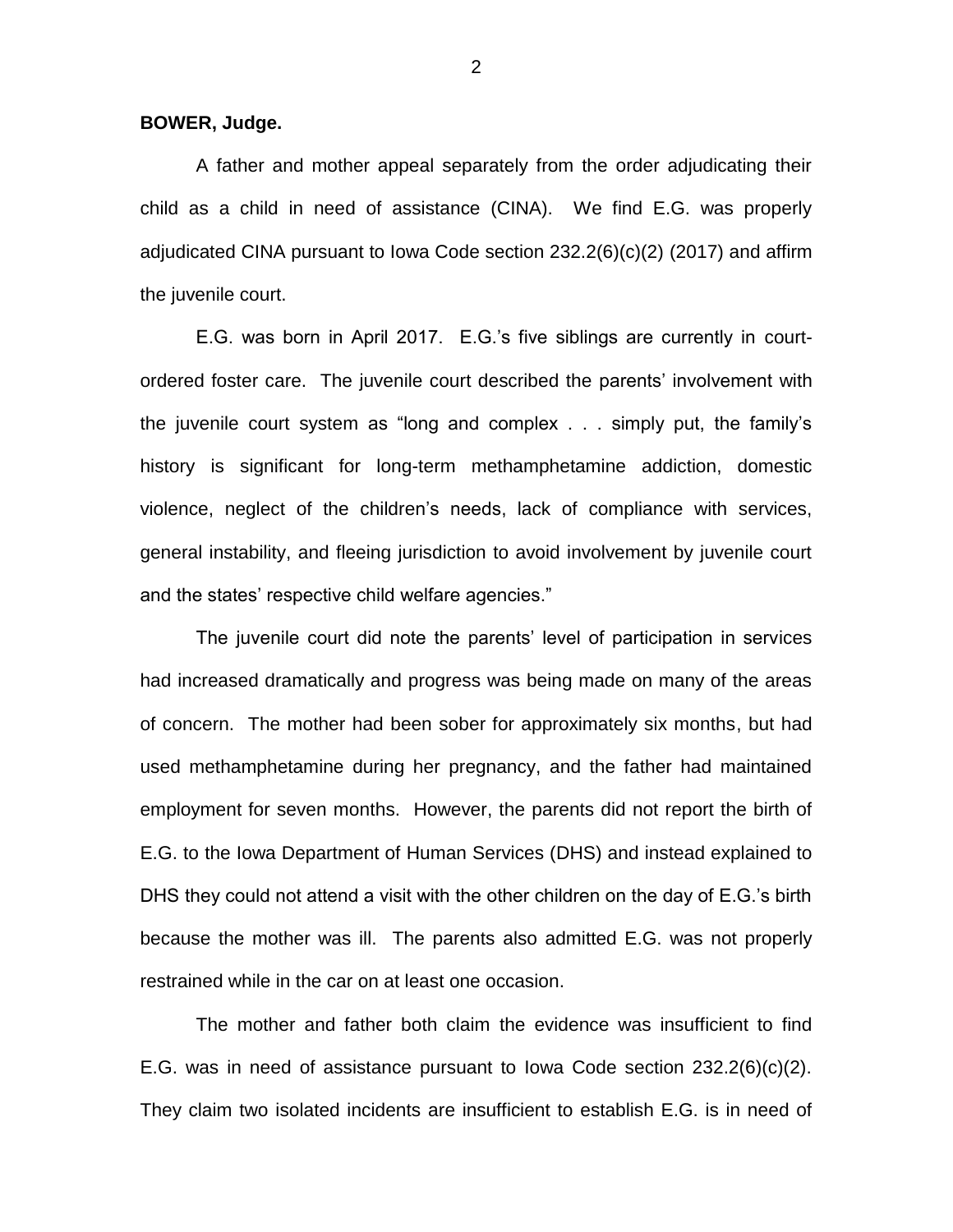**BOWER, Judge.**

A father and mother appeal separately from the order adjudicating their child as a child in need of assistance (CINA). We find E.G. was properly adjudicated CINA pursuant to Iowa Code section 232.2(6)(c)(2) (2017) and affirm the juvenile court.

E.G. was born in April 2017. E.G.'s five siblings are currently in courtordered foster care. The juvenile court described the parents' involvement with the juvenile court system as "long and complex . . . simply put, the family's history is significant for long-term methamphetamine addiction, domestic violence, neglect of the children's needs, lack of compliance with services, general instability, and fleeing jurisdiction to avoid involvement by juvenile court and the states' respective child welfare agencies."

The juvenile court did note the parents' level of participation in services had increased dramatically and progress was being made on many of the areas of concern. The mother had been sober for approximately six months, but had used methamphetamine during her pregnancy, and the father had maintained employment for seven months. However, the parents did not report the birth of E.G. to the Iowa Department of Human Services (DHS) and instead explained to DHS they could not attend a visit with the other children on the day of E.G.'s birth because the mother was ill. The parents also admitted E.G. was not properly restrained while in the car on at least one occasion.

The mother and father both claim the evidence was insufficient to find E.G. was in need of assistance pursuant to lowa Code section  $232.2(6)(c)(2)$ . They claim two isolated incidents are insufficient to establish E.G. is in need of